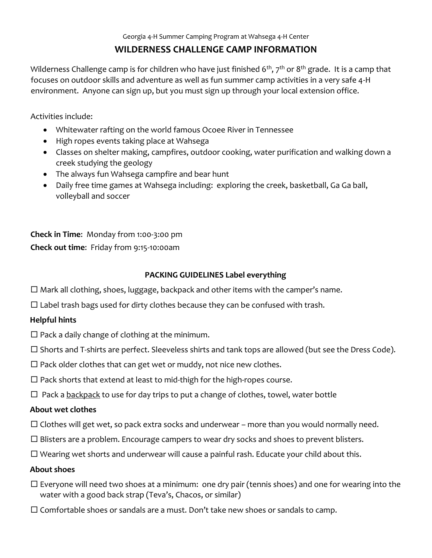# **WILDERNESS CHALLENGE CAMP INFORMATION**

Wilderness Challenge camp is for children who have just finished  $6^{th}$ ,  $7^{th}$  or  $8^{th}$  grade. It is a camp that focuses on outdoor skills and adventure as well as fun summer camp activities in a very safe 4-H environment. Anyone can sign up, but you must sign up through your local extension office.

Activities include:

- Whitewater rafting on the world famous Ocoee River in Tennessee
- High ropes events taking place at Wahsega
- Classes on shelter making, campfires, outdoor cooking, water purification and walking down a creek studying the geology
- The always fun Wahsega campfire and bear hunt
- Daily free time games at Wahsega including: exploring the creek, basketball, Ga Ga ball, volleyball and soccer

**Check in Time**: Monday from 1:00-3:00 pm **Check out time**: Friday from 9:15-10:00am

# **PACKING GUIDELINES Label everything**

- $\Box$  Mark all clothing, shoes, luggage, backpack and other items with the camper's name.
- $\Box$  Label trash bags used for dirty clothes because they can be confused with trash.

# **Helpful hints**

- $\square$  Pack a daily change of clothing at the minimum.
- $\square$  Shorts and T-shirts are perfect. Sleeveless shirts and tank tops are allowed (but see the Dress Code).
- $\Box$  Pack older clothes that can get wet or muddy, not nice new clothes.
- $\Box$  Pack shorts that extend at least to mid-thigh for the high-ropes course.
- $\Box$  Pack a backpack to use for day trips to put a change of clothes, towel, water bottle

# **About wet clothes**

- $\Box$  Clothes will get wet, so pack extra socks and underwear more than you would normally need.
- $\square$  Blisters are a problem. Encourage campers to wear dry socks and shoes to prevent blisters.
- $\Box$  Wearing wet shorts and underwear will cause a painful rash. Educate your child about this.

# **About shoes**

- $\Box$  Everyone will need two shoes at a minimum: one dry pair (tennis shoes) and one for wearing into the water with a good back strap (Teva's, Chacos, or similar)
- $\square$  Comfortable shoes or sandals are a must. Don't take new shoes or sandals to camp.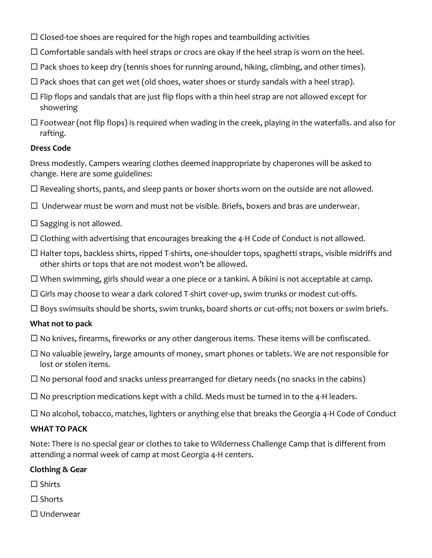- $\Box$  Closed-toe shoes are required for the high ropes and teambuilding activities
- $\Box$  Comfortable sandals with heel straps or crocs are okay if the heel strap is worn on the heel.
- $\Box$  Pack shoes to keep dry (tennis shoes for running around, hiking, climbing, and other times).
- $\Box$  Pack shoes that can get wet (old shoes, water shoes or sturdy sandals with a heel strap).
- $\Box$  Flip flops and sandals that are just flip flops with a thin heel strap are not allowed except for showering
- $\Box$  Footwear (not flip flops) is required when wading in the creek, playing in the waterfalls. and also for rafting.

### **Dress Code**

Dress modestly. Campers wearing clothes deemed inappropriate by chaperones will be asked to change. Here are some guidelines:

- $\Box$  Revealing shorts, pants, and sleep pants or boxer shorts worn on the outside are not allowed.
- $\Box$  Underwear must be worn and must not be visible. Briefs, boxers and bras are underwear.
- $\square$  Sagging is not allowed.
- $\Box$  Clothing with advertising that encourages breaking the 4-H Code of Conduct is not allowed.
- $\Box$  Halter tops, backless shirts, ripped T-shirts, one-shoulder tops, spaghetti straps, visible midriffs and other shirts or tops that are not modest won't be allowed.
- $\Box$  When swimming, girls should wear a one piece or a tankini. A bikini is not acceptable at camp.
- $\Box$  Girls may choose to wear a dark colored T-shirt cover-up, swim trunks or modest cut-offs.
- $\Box$  Boys swimsuits should be shorts, swim trunks, board shorts or cut-offs; not boxers or swim briefs.

# **What not to pack**

- $\Box$  No knives, firearms, fireworks or any other dangerous items. These items will be confiscated.
- $\Box$  No valuable jewelry, large amounts of money, smart phones or tablets. We are not responsible for lost or stolen items.
- $\Box$  No personal food and snacks unless prearranged for dietary needs (no snacks in the cabins)
- $\Box$  No prescription medications kept with a child. Meds must be turned in to the 4-H leaders.
- $\Box$  No alcohol, tobacco, matches, lighters or anything else that breaks the Georgia 4-H Code of Conduct

#### **WHAT TO PACK**

Note: There is no special gear or clothes to take to Wilderness Challenge Camp that is different from attending a normal week of camp at most Georgia 4-H centers.

# **Clothing & Gear**

- $\square$  Shirts
- □ Shorts
- $\Box$  Underwear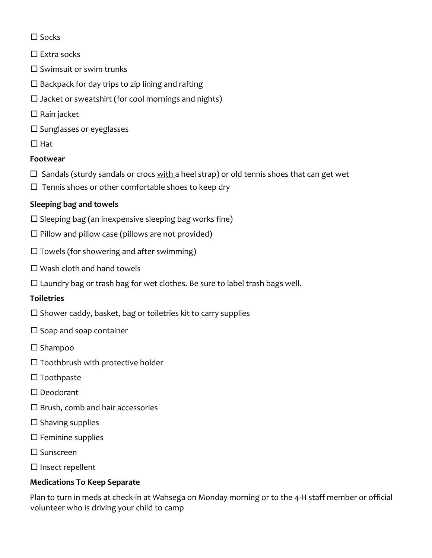- $\square$  Socks
- $\square$  Extra socks
- $\square$  Swimsuit or swim trunks
- $\square$  Backpack for day trips to zip lining and rafting
- $\square$  Jacket or sweatshirt (for cool mornings and nights)
- $\square$  Rain jacket
- $\square$  Sunglasses or eyeglasses
- $\Box$  Hat

# **Footwear**

- $\Box$  Sandals (sturdy sandals or crocs with a heel strap) or old tennis shoes that can get wet
- $\Box$  Tennis shoes or other comfortable shoes to keep dry

# **Sleeping bag and towels**

- $\square$  Sleeping bag (an inexpensive sleeping bag works fine)
- $\square$  Pillow and pillow case (pillows are not provided)
- $\square$  Towels (for showering and after swimming)
- $\square$  Wash cloth and hand towels
- $\square$  Laundry bag or trash bag for wet clothes. Be sure to label trash bags well.

# **Toiletries**

- $\square$  Shower caddy, basket, bag or toiletries kit to carry supplies
- $\square$  Soap and soap container
- $\square$  Shampoo
- $\square$  Toothbrush with protective holder
- $\square$  Toothpaste
- □ Deodorant
- $\square$  Brush, comb and hair accessories
- $\square$  Shaving supplies
- $\square$  Feminine supplies
- Sunscreen
- $\square$  Insect repellent

# **Medications To Keep Separate**

Plan to turn in meds at check-in at Wahsega on Monday morning or to the 4-H staff member or official volunteer who is driving your child to camp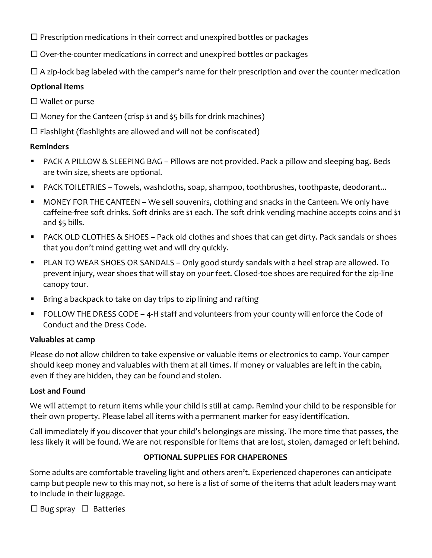$\Box$  Prescription medications in their correct and unexpired bottles or packages

 $\Box$  Over-the-counter medications in correct and unexpired bottles or packages

 $\Box$  A zip-lock bag labeled with the camper's name for their prescription and over the counter medication

# **Optional items**

 $\square$  Wallet or purse

- $\Box$  Money for the Canteen (crisp \$1 and \$5 bills for drink machines)
- $\Box$  Flashlight (flashlights are allowed and will not be confiscated)

# **Reminders**

- PACK A PILLOW & SLEEPING BAG Pillows are not provided. Pack a pillow and sleeping bag. Beds are twin size, sheets are optional.
- PACK TOILETRIES Towels, washcloths, soap, shampoo, toothbrushes, toothpaste, deodorant...
- MONEY FOR THE CANTEEN We sell souvenirs, clothing and snacks in the Canteen. We only have caffeine-free soft drinks. Soft drinks are \$1 each. The soft drink vending machine accepts coins and \$1 and \$5 bills.
- PACK OLD CLOTHES & SHOES Pack old clothes and shoes that can get dirty. Pack sandals or shoes that you don't mind getting wet and will dry quickly.
- PLAN TO WEAR SHOES OR SANDALS Only good sturdy sandals with a heel strap are allowed. To prevent injury, wear shoes that will stay on your feet. Closed-toe shoes are required for the zip-line canopy tour.
- **Bring a backpack to take on day trips to zip lining and rafting**
- FOLLOW THE DRESS CODE 4-H staff and volunteers from your county will enforce the Code of Conduct and the Dress Code.

# **Valuables at camp**

Please do not allow children to take expensive or valuable items or electronics to camp. Your camper should keep money and valuables with them at all times. If money or valuables are left in the cabin, even if they are hidden, they can be found and stolen.

# **Lost and Found**

We will attempt to return items while your child is still at camp. Remind your child to be responsible for their own property. Please label all items with a permanent marker for easy identification.

Call immediately if you discover that your child's belongings are missing. The more time that passes, the less likely it will be found. We are not responsible for items that are lost, stolen, damaged or left behind.

# **OPTIONAL SUPPLIES FOR CHAPERONES**

Some adults are comfortable traveling light and others aren't. Experienced chaperones can anticipate camp but people new to this may not, so here is a list of some of the items that adult leaders may want to include in their luggage.

 $\Box$  Bug spray  $\Box$  Batteries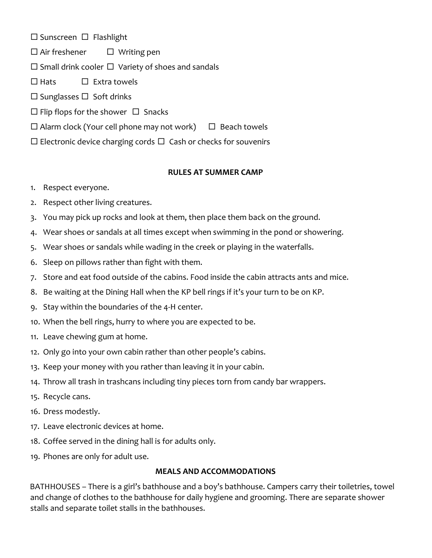$\square$  Sunscreen  $\square$  Flashlight

- $\Box$  Air freshener  $\Box$  Writing pen
- $\square$  Small drink cooler  $\square$  Variety of shoes and sandals
- $\Box$  Hats  $\Box$  Extra towels
- $\square$  Sunglasses  $\square$  Soft drinks
- $\Box$  Flip flops for the shower  $\Box$  Snacks
- $\Box$  Alarm clock (Your cell phone may not work)  $\Box$  Beach towels
- $\Box$  Electronic device charging cords  $\Box$  Cash or checks for souvenirs

#### **RULES AT SUMMER CAMP**

- 1. Respect everyone.
- 2. Respect other living creatures.
- 3. You may pick up rocks and look at them, then place them back on the ground.
- 4. Wear shoes or sandals at all times except when swimming in the pond or showering.
- 5. Wear shoes or sandals while wading in the creek or playing in the waterfalls.
- 6. Sleep on pillows rather than fight with them.
- 7. Store and eat food outside of the cabins. Food inside the cabin attracts ants and mice.
- 8. Be waiting at the Dining Hall when the KP bell rings if it's your turn to be on KP.
- 9. Stay within the boundaries of the 4-H center.
- 10. When the bell rings, hurry to where you are expected to be.
- 11. Leave chewing gum at home.
- 12. Only go into your own cabin rather than other people's cabins.
- 13. Keep your money with you rather than leaving it in your cabin.
- 14. Throw all trash in trashcans including tiny pieces torn from candy bar wrappers.
- 15. Recycle cans.
- 16. Dress modestly.
- 17. Leave electronic devices at home.
- 18. Coffee served in the dining hall is for adults only.
- 19. Phones are only for adult use.

#### **MEALS AND ACCOMMODATIONS**

BATHHOUSES – There is a girl's bathhouse and a boy's bathhouse. Campers carry their toiletries, towel and change of clothes to the bathhouse for daily hygiene and grooming. There are separate shower stalls and separate toilet stalls in the bathhouses.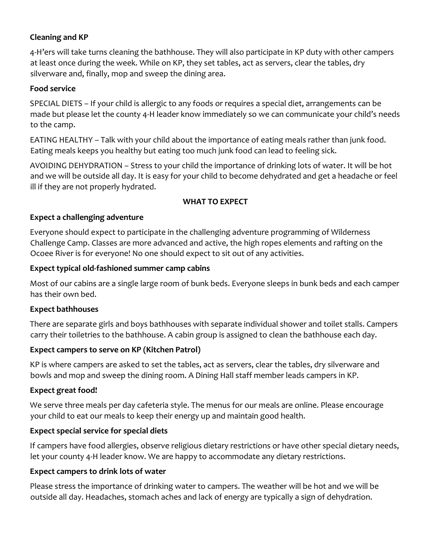# **Cleaning and KP**

4-H'ers will take turns cleaning the bathhouse. They will also participate in KP duty with other campers at least once during the week. While on KP, they set tables, act as servers, clear the tables, dry silverware and, finally, mop and sweep the dining area.

#### **Food service**

SPECIAL DIETS – If your child is allergic to any foods or requires a special diet, arrangements can be made but please let the county 4-H leader know immediately so we can communicate your child's needs to the camp.

EATING HEALTHY – Talk with your child about the importance of eating meals rather than junk food. Eating meals keeps you healthy but eating too much junk food can lead to feeling sick.

AVOIDING DEHYDRATION – Stress to your child the importance of drinking lots of water. It will be hot and we will be outside all day. It is easy for your child to become dehydrated and get a headache or feel ill if they are not properly hydrated.

#### **WHAT TO EXPECT**

#### **Expect a challenging adventure**

Everyone should expect to participate in the challenging adventure programming of Wilderness Challenge Camp. Classes are more advanced and active, the high ropes elements and rafting on the Ocoee River is for everyone! No one should expect to sit out of any activities.

#### **Expect typical old-fashioned summer camp cabins**

Most of our cabins are a single large room of bunk beds. Everyone sleeps in bunk beds and each camper has their own bed.

#### **Expect bathhouses**

There are separate girls and boys bathhouses with separate individual shower and toilet stalls. Campers carry their toiletries to the bathhouse. A cabin group is assigned to clean the bathhouse each day.

#### **Expect campers to serve on KP (Kitchen Patrol)**

KP is where campers are asked to set the tables, act as servers, clear the tables, dry silverware and bowls and mop and sweep the dining room. A Dining Hall staff member leads campers in KP.

#### **Expect great food!**

We serve three meals per day cafeteria style. The menus for our meals are online. Please encourage your child to eat our meals to keep their energy up and maintain good health.

#### **Expect special service for special diets**

If campers have food allergies, observe religious dietary restrictions or have other special dietary needs, let your county 4-H leader know. We are happy to accommodate any dietary restrictions.

#### **Expect campers to drink lots of water**

Please stress the importance of drinking water to campers. The weather will be hot and we will be outside all day. Headaches, stomach aches and lack of energy are typically a sign of dehydration.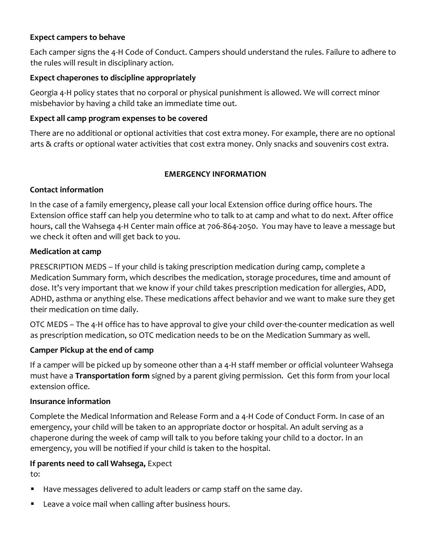#### **Expect campers to behave**

Each camper signs the 4-H Code of Conduct. Campers should understand the rules. Failure to adhere to the rules will result in disciplinary action.

### **Expect chaperones to discipline appropriately**

Georgia 4-H policy states that no corporal or physical punishment is allowed. We will correct minor misbehavior by having a child take an immediate time out.

### **Expect all camp program expenses to be covered**

There are no additional or optional activities that cost extra money. For example, there are no optional arts & crafts or optional water activities that cost extra money. Only snacks and souvenirs cost extra.

# **EMERGENCY INFORMATION**

### **Contact information**

In the case of a family emergency, please call your local Extension office during office hours. The Extension office staff can help you determine who to talk to at camp and what to do next. After office hours, call the Wahsega 4-H Center main office at 706-864-2050. You may have to leave a message but we check it often and will get back to you.

### **Medication at camp**

PRESCRIPTION MEDS – If your child is taking prescription medication during camp, complete a Medication Summary form, which describes the medication, storage procedures, time and amount of dose. It's very important that we know if your child takes prescription medication for allergies, ADD, ADHD, asthma or anything else. These medications affect behavior and we want to make sure they get their medication on time daily.

OTC MEDS – The 4-H office has to have approval to give your child over-the-counter medication as well as prescription medication, so OTC medication needs to be on the Medication Summary as well.

# **Camper Pickup at the end of camp**

If a camper will be picked up by someone other than a 4-H staff member or official volunteer Wahsega must have a **Transportation form** signed by a parent giving permission. Get this form from your local extension office.

#### **Insurance information**

Complete the Medical Information and Release Form and a 4-H Code of Conduct Form. In case of an emergency, your child will be taken to an appropriate doctor or hospital. An adult serving as a chaperone during the week of camp will talk to you before taking your child to a doctor. In an emergency, you will be notified if your child is taken to the hospital.

# **If parents need to call Wahsega,** Expect

to:

- Have messages delivered to adult leaders or camp staff on the same day.
- **Leave a voice mail when calling after business hours.**